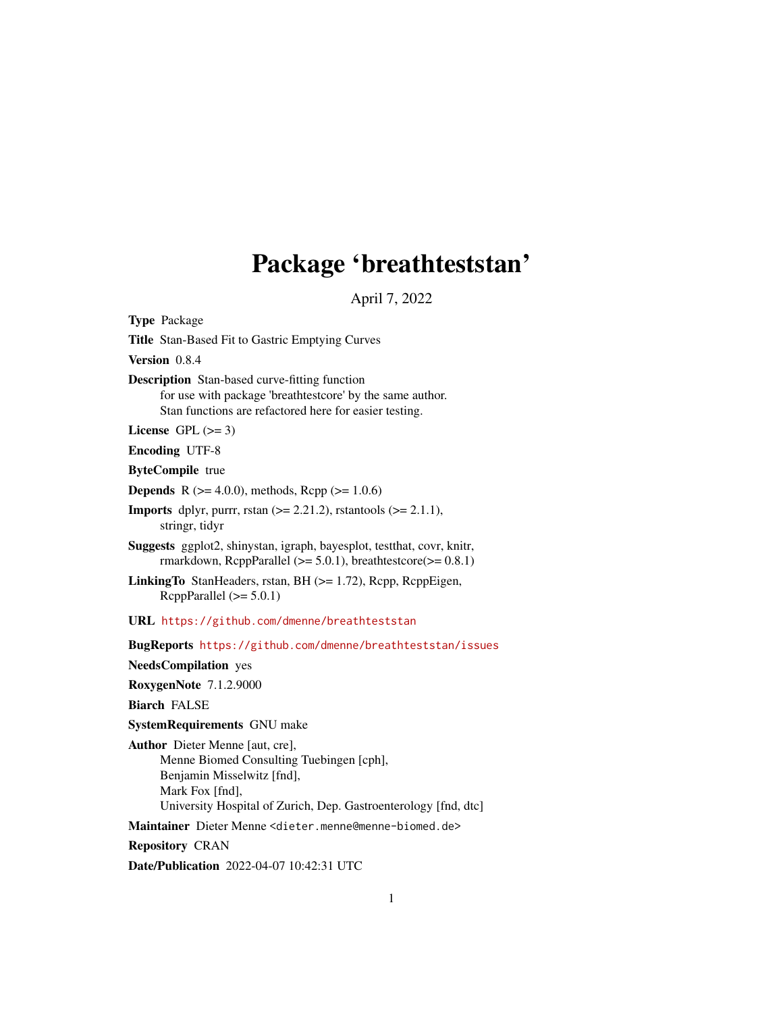## Package 'breathteststan'

April 7, 2022

<span id="page-0-0"></span>Type Package Title Stan-Based Fit to Gastric Emptying Curves Version 0.8.4 Description Stan-based curve-fitting function for use with package 'breathtestcore' by the same author. Stan functions are refactored here for easier testing. License GPL  $(>= 3)$ Encoding UTF-8 ByteCompile true **Depends** R ( $>= 4.0.0$ ), methods, Rcpp ( $>= 1.0.6$ ) **Imports** dplyr, purrr, rstan  $(>= 2.21.2)$ , rstantools  $(>= 2.1.1)$ , stringr, tidyr Suggests ggplot2, shinystan, igraph, bayesplot, testthat, covr, knitr, rmarkdown, RcppParallel  $(>= 5.0.1)$ , breathtestcore $(>= 0.8.1)$ LinkingTo StanHeaders, rstan, BH (>= 1.72), Rcpp, RcppEigen, RcppParallel  $(>= 5.0.1)$ URL <https://github.com/dmenne/breathteststan> BugReports <https://github.com/dmenne/breathteststan/issues> NeedsCompilation yes RoxygenNote 7.1.2.9000 Biarch FALSE SystemRequirements GNU make Author Dieter Menne [aut, cre], Menne Biomed Consulting Tuebingen [cph], Benjamin Misselwitz [fnd], Mark Fox [fnd], University Hospital of Zurich, Dep. Gastroenterology [fnd, dtc] Maintainer Dieter Menne <dieter.menne@menne-biomed.de> Repository CRAN Date/Publication 2022-04-07 10:42:31 UTC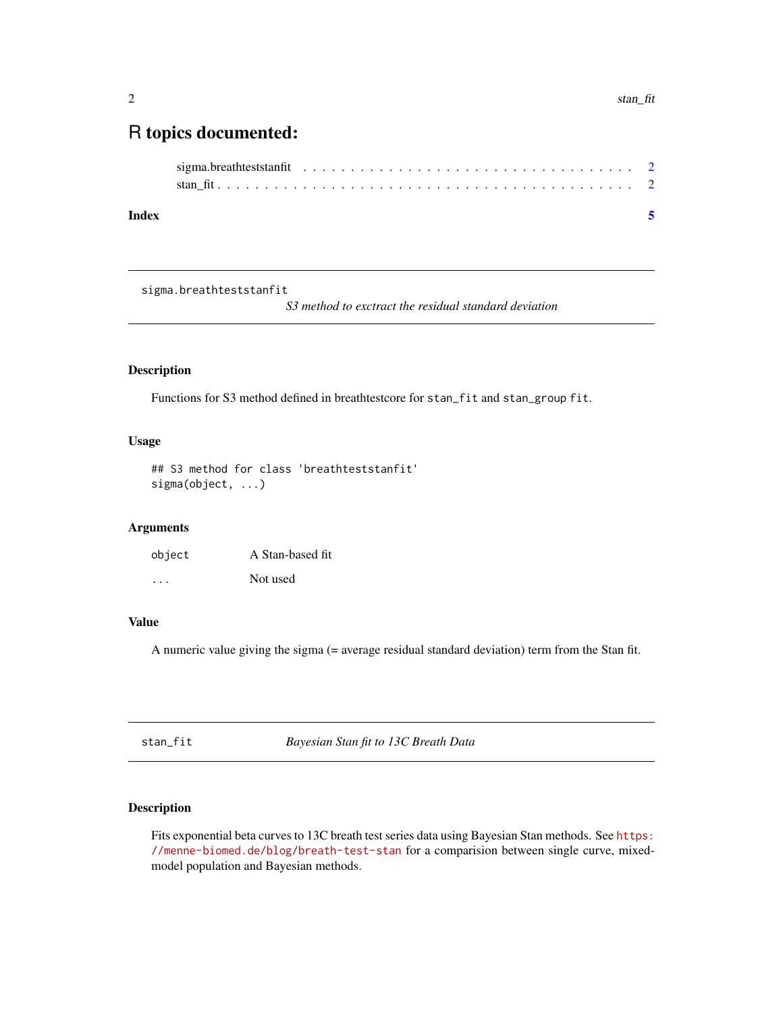### <span id="page-1-0"></span>R topics documented:

sigma.breathteststanfit

*S3 method to exctract the residual standard deviation*

#### Description

Functions for S3 method defined in breathtestcore for stan\_fit and stan\_group fit.

#### Usage

```
## S3 method for class 'breathteststanfit'
sigma(object, ...)
```
#### Arguments

| object  | A Stan-based fit |
|---------|------------------|
| $\cdot$ | Not used         |

#### Value

A numeric value giving the sigma (= average residual standard deviation) term from the Stan fit.

stan\_fit *Bayesian Stan fit to 13C Breath Data*

#### Description

Fits exponential beta curves to 13C breath test series data using Bayesian Stan methods. See [https:](https://menne-biomed.de/blog/breath-test-stan) [//menne-biomed.de/blog/breath-test-stan](https://menne-biomed.de/blog/breath-test-stan) for a comparision between single curve, mixedmodel population and Bayesian methods.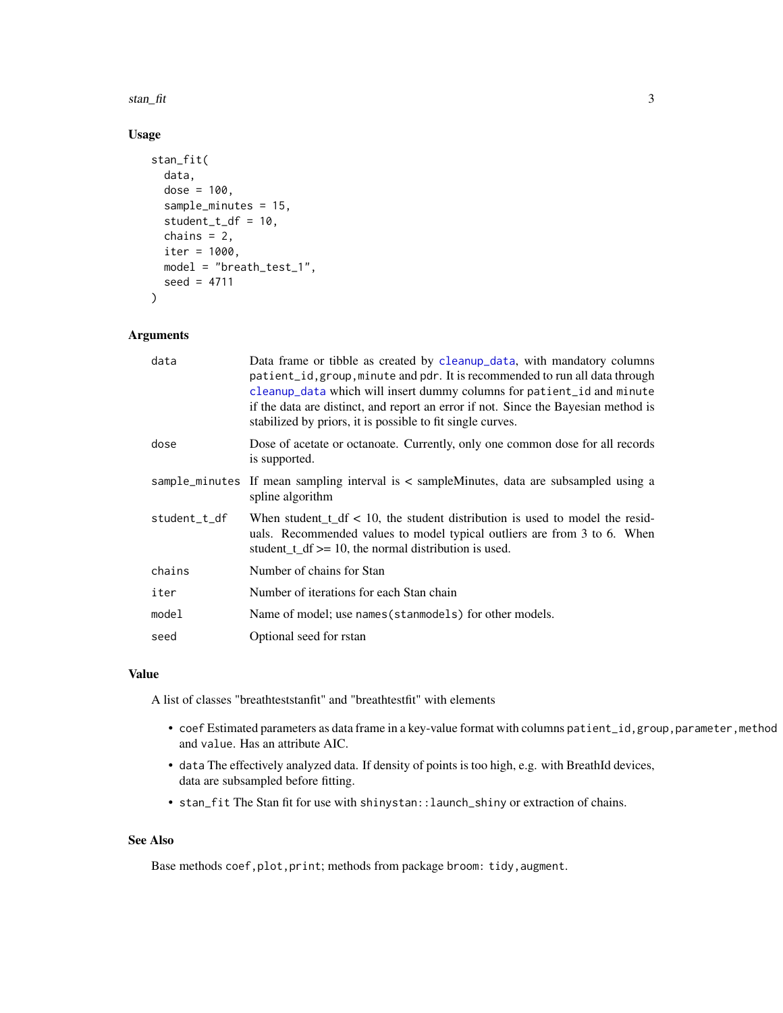<span id="page-2-0"></span>stan\_fit 3

#### Usage

```
stan_fit(
  data,
  dose = 100,
  sample_minutes = 15,
  student_t_df = 10,
  chains = 2,
  iter = 1000,model = "breath_test_1",
  seed = 4711
\lambda
```
#### Arguments

| data         | Data frame or tibble as created by cleanup_data, with mandatory columns<br>patient_id, group, minute and pdr. It is recommended to run all data through<br>cleanup_data which will insert dummy columns for patient_id and minute<br>if the data are distinct, and report an error if not. Since the Bayesian method is<br>stabilized by priors, it is possible to fit single curves. |
|--------------|---------------------------------------------------------------------------------------------------------------------------------------------------------------------------------------------------------------------------------------------------------------------------------------------------------------------------------------------------------------------------------------|
| dose         | Dose of acetate or octanoate. Currently, only one common dose for all records<br>is supported.                                                                                                                                                                                                                                                                                        |
|              | sample_minutes If mean sampling interval is < sampleMinutes, data are subsampled using a<br>spline algorithm                                                                                                                                                                                                                                                                          |
| student_t_df | When student $t_d$ df < 10, the student distribution is used to model the resid-<br>uals. Recommended values to model typical outliers are from 3 to 6. When<br>student $t_d$ = 10, the normal distribution is used.                                                                                                                                                                  |
| chains       | Number of chains for Stan                                                                                                                                                                                                                                                                                                                                                             |
| iter         | Number of iterations for each Stan chain                                                                                                                                                                                                                                                                                                                                              |
| model        | Name of model; use names (stanmodels) for other models.                                                                                                                                                                                                                                                                                                                               |
| seed         | Optional seed for rstan                                                                                                                                                                                                                                                                                                                                                               |

#### Value

A list of classes "breathteststanfit" and "breathtestfit" with elements

- coef Estimated parameters as data frame in a key-value format with columns patient\_id, group, parameter, method and value. Has an attribute AIC.
- data The effectively analyzed data. If density of points is too high, e.g. with BreathId devices, data are subsampled before fitting.
- stan\_fit The Stan fit for use with shinystan::launch\_shiny or extraction of chains.

#### See Also

Base methods coef, plot, print; methods from package broom: tidy, augment.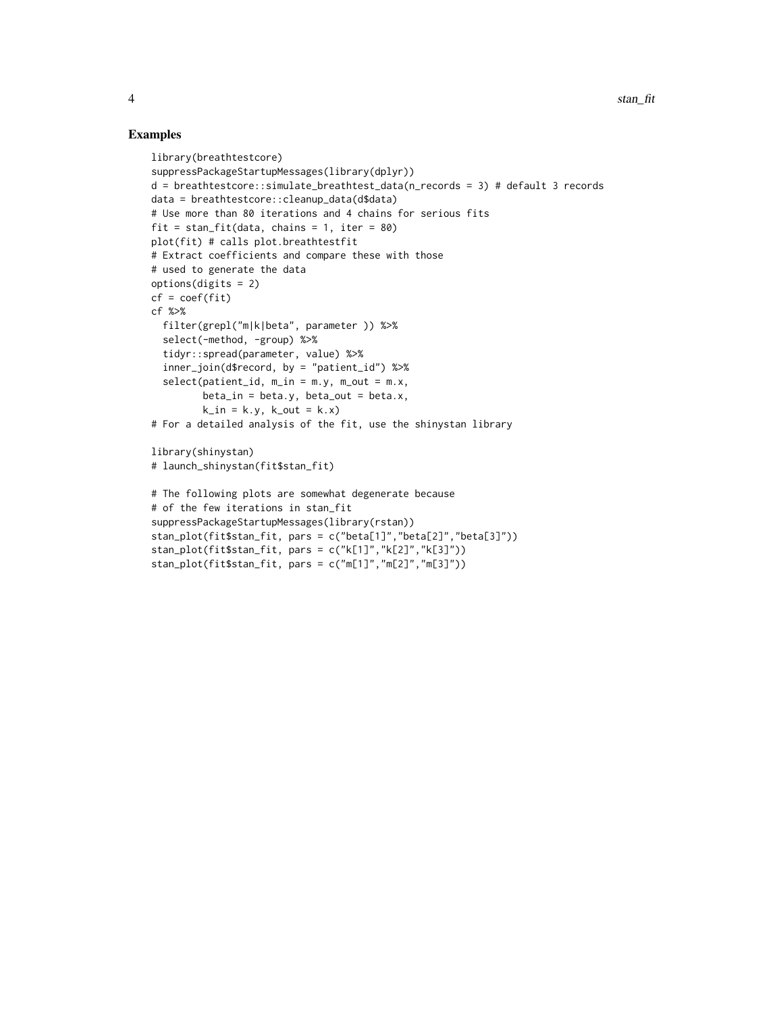#### Examples

```
library(breathtestcore)
suppressPackageStartupMessages(library(dplyr))
d = breathtestcore::simulate_breathtest_data(n_records = 3) # default 3 records
data = breathtestcore::cleanup_data(d$data)
# Use more than 80 iterations and 4 chains for serious fits
fit = stan_fit(data, chains = 1, iter = 80)
plot(fit) # calls plot.breathtestfit
# Extract coefficients and compare these with those
# used to generate the data
options(digits = 2)
cf = coef(fit)cf %>%
  filter(grepl("m|k|beta", parameter )) %>%
  select(-method, -group) %>%
  tidyr::spread(parameter, value) %>%
  inner_join(d$record, by = "patient_id") %>%
  select(patient_id, m_in = m.y, m.out = m.x,beta_in = beta.y, beta.out = beta.x,k_in = k.y, k.out = k.x)# For a detailed analysis of the fit, use the shinystan library
library(shinystan)
# launch_shinystan(fit$stan_fit)
# The following plots are somewhat degenerate because
# of the few iterations in stan_fit
suppressPackageStartupMessages(library(rstan))
stan_plot(fit$stan_fit, pars = c("beta[1]","beta[2]","beta[3]"))
stan_plot(fit$stan_fit, pars = c("k[1]","k[2]","k[3]"))
stan_plot(fit$stan_fit, pars = c("m[1]","m[2]","m[3]"))
```